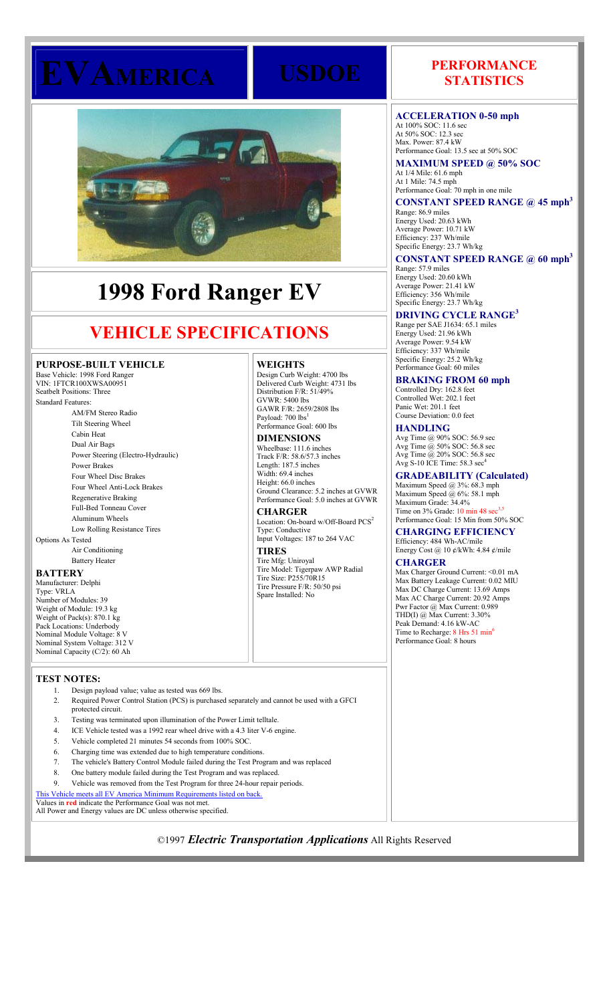

# **1998 Ford Ranger EV**

# **VEHICLE SPECIFICATIONS**

# **PURPOSE-BUILT VEHICLE**

Base Vehicle: 1998 Ford Ranger VIN: 1FTCR100XWSA00951 Seatbelt Positions: Three Standard Features: AM/FM Stereo Radio Tilt Steering Wheel Cabin Heat Dual Air Bags Power Steering (Electro-Hydraulic) Power Brakes Four Wheel Disc Brakes Four Wheel Anti-Lock Brakes Regenerative Braking Full-Bed Tonneau Cover Aluminum Wheels Low Rolling Resistance Tires Options As Tested Air Conditioning Battery Heater

# **BATTERY**

Manufacturer: Delphi Type: VRLA Number of Modules: 39 Weight of Module: 19.3 kg Weight of Pack(s): 870.1 kg Pack Locations: Underbody Nominal Module Voltage: 8 V Nominal System Voltage: 312 V Nominal Capacity (C/2): 60 Ah

# **TEST NOTES:**

- 1. Design payload value; value as tested was 669 lbs.
- 2. Required Power Control Station (PCS) is purchased separately and cannot be used with a GFCI protected circuit.
- 3. Testing was terminated upon illumination of the Power Limit telltale.
- 4. ICE Vehicle tested was a 1992 rear wheel drive with a 4.3 liter V-6 engine.
- 5. Vehicle completed 21 minutes 54 seconds from 100% SOC.
- 6. Charging time was extended due to high temperature conditions.
- 7. The vehicle's Battery Control Module failed during the Test Program and was replaced
- 8. One battery module failed during the Test Program and was replaced.
- 9. Vehicle was removed from the Test Program for three 24-hour repair periods.

This Vehicle meets all EV America Minimum Requirements listed on back.

Values in **red** indicate the Performance Goal was not met. All Power and Energy values are DC unless otherwise specified.

# **WEIGHTS**

Design Curb Weight: 4700 lbs Delivered Curb Weight: 4731 lbs Distribution F/R: 51/49%  $GVWR \cdot 5400$  lbs GAWR F/R: 2659/2808 lbs Payload: 700 lbs Performance Goal: 600 lbs

**DIMENSIONS** Wheelbase: 111.6 inches Track F/R: 58.6/57.3 inches Length: 187.5 inches Width: 69.4 inches

Height: 66.0 inches Ground Clearance: 5.2 inches at GVWR Performance Goal: 5.0 inches at GVWR **CHARGER**

Location: On-board w/Off-Board PCS<sup>2</sup> Type: Conductive Input Voltages: 187 to 264 VAC

**TIRES** Tire Mfg: Uniroyal Tire Model: Tigerpaw AWP Radial Tire Size: P255/70R15 Tire Pressure F/R: 50/50 psi Spare Installed: No

# **EVAMERICA USDOE PERFORMANCE STATISTICS**

### **ACCELERATION 0-50 mph**

At 100% SOC: 11.6 sec At 50% SOC: 12.3 sec Max. Power: 87.4 kW Performance Goal: 13.5 sec at 50% SOC **MAXIMUM SPEED @ 50% SOC** At 1/4 Mile: 61.6 mph At 1 Mile: 74.5 mph

Performance Goal: 70 mph in one mile **CONSTANT SPEED RANGE @ 45 mph<sup>3</sup>**

Range: 86.9 miles Energy Used: 20.63 kWh Average Power: 10.71 kW Efficiency: 237 Wh/mile Specific Energy: 23.7 Wh/kg

# **CONSTANT SPEED RANGE @ 60 mph<sup>3</sup>**

Range: 57.9 miles Energy Used: 20.60 kWh Average Power: 21.41 kW Efficiency: 356 Wh/mile Specific Energy: 23.7 Wh/kg

#### **DRIVING CYCLE RANGE<sup>3</sup>**

Range per SAE J1634: 65.1 miles Energy Used: 21.96 kWh Average Power: 9.54 kW Efficiency: 337 Wh/mile Specific Energy: 25.2 Wh/kg Performance Goal: 60 miles

**BRAKING FROM 60 mph** Controlled Dry: 162.8 feet

Controlled Wet: 202.1 feet Panic Wet: 201.1 feet Course Deviation: 0.0 feet

**HANDLING** Avg Time @ 90% SOC: 56.9 sec Avg Time @ 50% SOC: 56.8 sec Avg Time @ 20% SOC: 56.8 sec Avg S-10 ICE Time: 58.3 sec

# **GRADEABILITY (Calculated)**

Maximum Speed  $(a)$  3%: 68.3 mph Maximum Speed @ 6%: 58.1 mph Maximum Grade: 34.4% Time on  $3\%$  Grade:  $10 \text{ min } 48 \text{ sec}^{3,5}$ Performance Goal: 15 Min from 50% SOC

**CHARGING EFFICIENCY** Efficiency: 484 Wh-AC/mile

Energy Cost @ 10 ¢/kWh: 4.84 ¢/mile

**CHARGER**

Max Charger Ground Current: < 0.01 mA Max Battery Leakage Current: 0.02 MIU Max DC Charge Current: 13.69 Amps Max AC Charge Current: 20.92 Amps Pwr Factor @ Max Current: 0.989 THD(I) @ Max Current: 3.30% Peak Demand: 4.16 kW-AC Time to Recharge: 8 Hrs 51 min<sup>6</sup> Performance Goal: 8 hours

©1997 *Electric Transportation Applications* All Rights Reserved